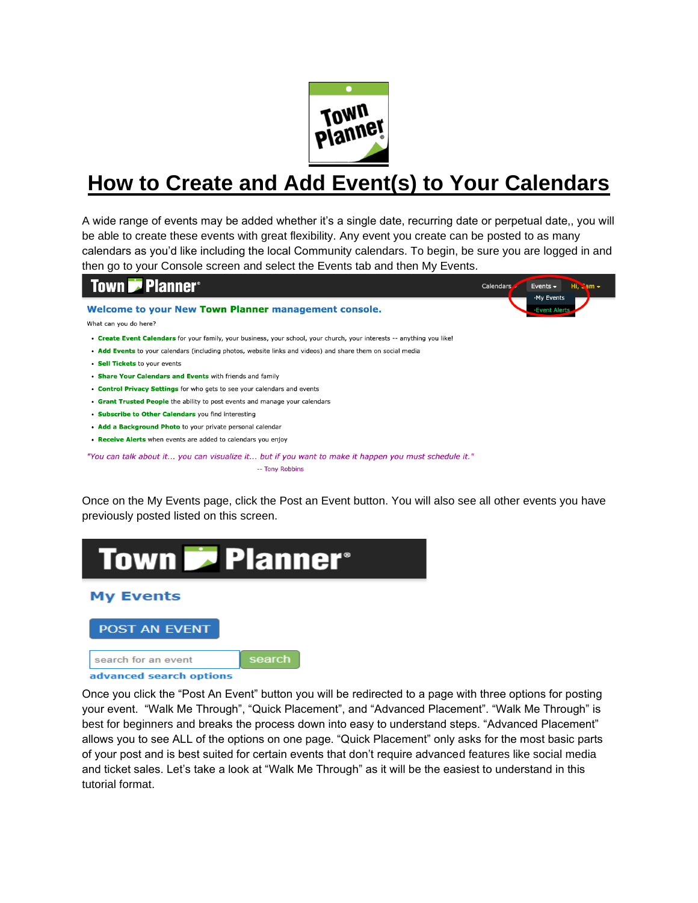

# **How to Create and Add Event(s) to Your Calendars**

A wide range of events may be added whether it's a single date, recurring date or perpetual date,, you will be able to create these events with great flexibility. Any event you create can be posted to as many calendars as you'd like including the local Community calendars. To begin, be sure you are logged in and then go to your Console screen and select the Events tab and then My Events.



"You can talk about it... you can visualize it... but if you want to make it happen you must schedule it." -- Tony Robbins

Once on the My Events page, click the Post an Event button. You will also see all other events you have previously posted listed on this screen.





Once you click the "Post An Event" button you will be redirected to a page with three options for posting your event. "Walk Me Through", "Quick Placement", and "Advanced Placement". "Walk Me Through" is best for beginners and breaks the process down into easy to understand steps. "Advanced Placement" allows you to see ALL of the options on one page. "Quick Placement" only asks for the most basic parts of your post and is best suited for certain events that don't require advanced features like social media and ticket sales. Let's take a look at "Walk Me Through" as it will be the easiest to understand in this tutorial format.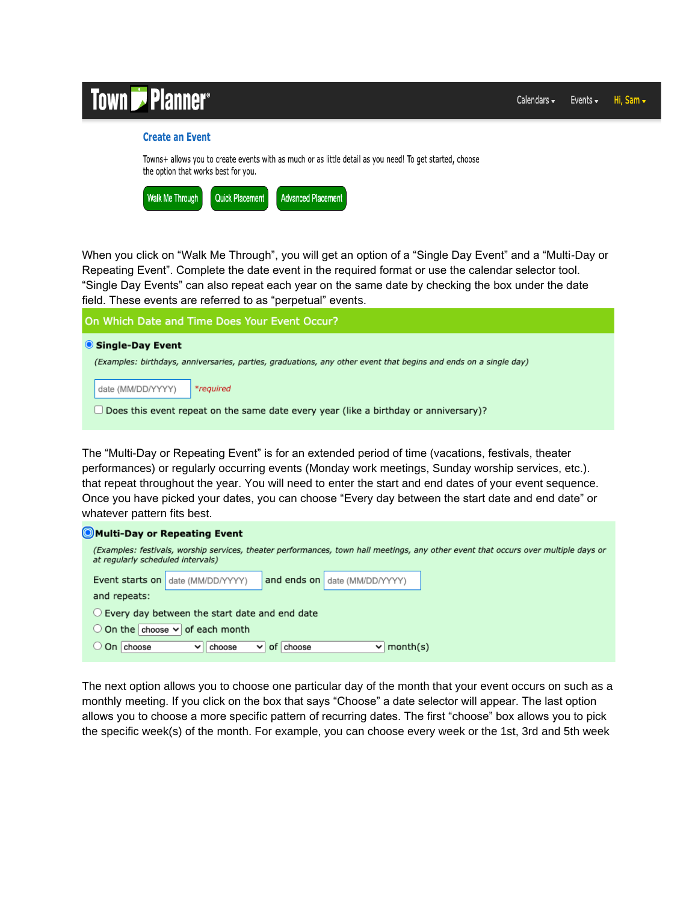# **7** Planner<sup>®</sup>

## **Create an Event**

Towns+ allows you to create events with as much or as little detail as you need! To get started, choose the option that works best for you.

| <b>Walk Me Through</b> | <b>Quick Placement</b> | Advanced Placement |
|------------------------|------------------------|--------------------|
|                        |                        |                    |

When you click on "Walk Me Through", you will get an option of a "Single Day Event" and a "Multi-Day or Repeating Event". Complete the date event in the required format or use the calendar selector tool. "Single Day Events" can also repeat each year on the same date by checking the box under the date field. These events are referred to as "perpetual" events.

On Which Date and Time Does Your Event Occur?

| Single-Day Event |  |
|------------------|--|
|------------------|--|

(Examples: birthdays, anniversaries, parties, graduations, any other event that begins and ends on a single day)

date (MM/DD/YYYY) \*required

 $\Box$  Does this event repeat on the same date every year (like a birthday or anniversary)?

The "Multi-Day or Repeating Event" is for an extended period of time (vacations, festivals, theater performances) or regularly occurring events (Monday work meetings, Sunday worship services, etc.). that repeat throughout the year. You will need to enter the start and end dates of your event sequence. Once you have picked your dates, you can choose "Every day between the start date and end date" or whatever pattern fits best.

| Multi-Day or Repeating Event                                                                                                                                             |  |  |  |  |  |  |  |
|--------------------------------------------------------------------------------------------------------------------------------------------------------------------------|--|--|--|--|--|--|--|
| (Examples: festivals, worship services, theater performances, town hall meetings, any other event that occurs over multiple days or<br>at regularly scheduled intervals) |  |  |  |  |  |  |  |
| and ends on date (MM/DD/YYYY)<br>Event starts on<br>date (MM/DD/YYYY)                                                                                                    |  |  |  |  |  |  |  |
| and repeats:                                                                                                                                                             |  |  |  |  |  |  |  |
| Every day between the start date and end date                                                                                                                            |  |  |  |  |  |  |  |
| $\bigcirc$ On the choose $\vee$ of each month                                                                                                                            |  |  |  |  |  |  |  |
| On choose<br>of choose<br>month(s)<br>choose<br>$\checkmark$<br>$\checkmark$                                                                                             |  |  |  |  |  |  |  |

The next option allows you to choose one particular day of the month that your event occurs on such as a monthly meeting. If you click on the box that says "Choose" a date selector will appear. The last option allows you to choose a more specific pattern of recurring dates. The first "choose" box allows you to pick the specific week(s) of the month. For example, you can choose every week or the 1st, 3rd and 5th week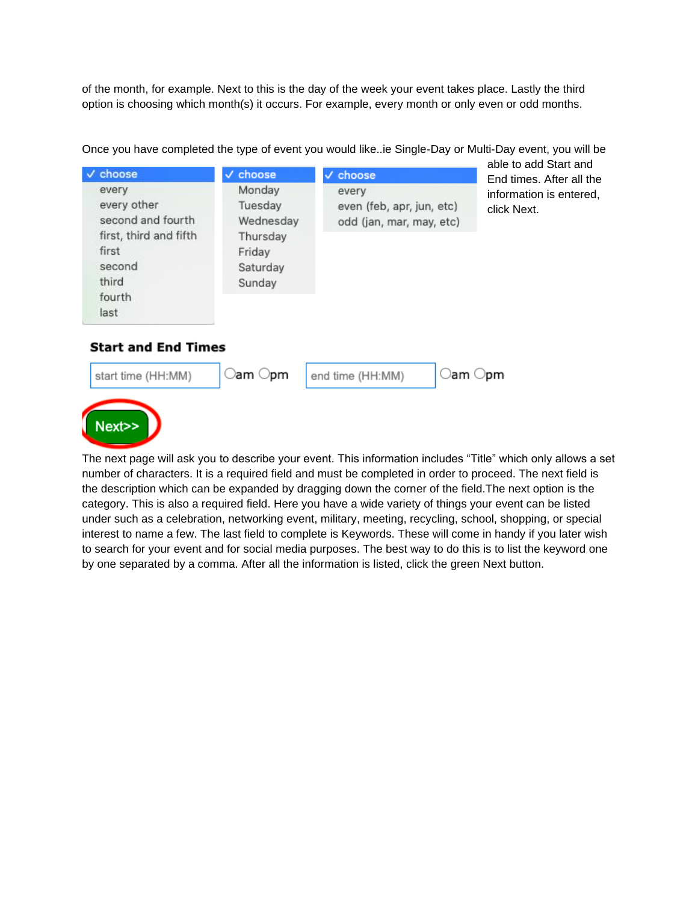of the month, for example. Next to this is the day of the week your event takes place. Lastly the third option is choosing which month(s) it occurs. For example, every month or only even or odd months.

| choose                                                                                                            | $\vee$ choose                                                              | $\vee$ choose                                                  | able to add Start and<br>End times. After all the |
|-------------------------------------------------------------------------------------------------------------------|----------------------------------------------------------------------------|----------------------------------------------------------------|---------------------------------------------------|
| every<br>every other<br>second and fourth<br>first, third and fifth<br>first<br>second<br>third<br>fourth<br>last | Monday<br>Tuesday<br>Wednesday<br>Thursday<br>Friday<br>Saturday<br>Sunday | every<br>even (feb, apr, jun, etc)<br>odd (jan, mar, may, etc) | information is entered,<br>click Next.            |

Once you have completed the type of event you would like..ie Single-Day or Multi-Day event, you will be

# **Start and End Times**



The next page will ask you to describe your event. This information includes "Title" which only allows a set number of characters. It is a required field and must be completed in order to proceed. The next field is the description which can be expanded by dragging down the corner of the field.The next option is the category. This is also a required field. Here you have a wide variety of things your event can be listed under such as a celebration, networking event, military, meeting, recycling, school, shopping, or special interest to name a few. The last field to complete is Keywords. These will come in handy if you later wish to search for your event and for social media purposes. The best way to do this is to list the keyword one by one separated by a comma. After all the information is listed, click the green Next button.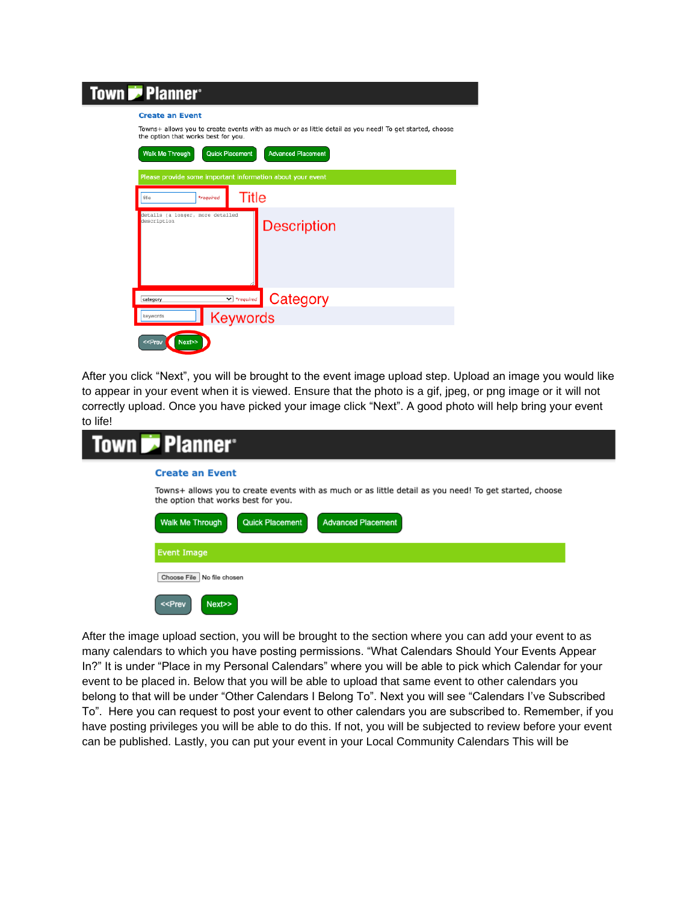| <b>Town Planner</b>                                                                                                                                                                                                                         |  |  |  |  |  |
|---------------------------------------------------------------------------------------------------------------------------------------------------------------------------------------------------------------------------------------------|--|--|--|--|--|
| <b>Create an Event</b><br>Towns+ allows you to create events with as much or as little detail as you need! To get started, choose<br>the option that works best for you.<br>Quick Placement<br><b>Advanced Placement</b><br>Walk Me Through |  |  |  |  |  |
| Please provide some important information about your event                                                                                                                                                                                  |  |  |  |  |  |
| <b>Title</b><br>title<br>*reauired<br>details (a longer, more detailed<br>description<br><b>Description</b>                                                                                                                                 |  |  |  |  |  |
| Category<br>$\blacktriangleright$ *required<br>category                                                                                                                                                                                     |  |  |  |  |  |
| <b>Keywords</b><br>keywords<br>Next>><br>< <prev< td=""></prev<>                                                                                                                                                                            |  |  |  |  |  |

After you click "Next", you will be brought to the event image upload step. Upload an image you would like to appear in your event when it is viewed. Ensure that the photo is a gif, jpeg, or png image or it will not correctly upload. Once you have picked your image click "Next". A good photo will help bring your event to life!

| <b>Town D</b> Planner <sup>®</sup>                                                                                                             |
|------------------------------------------------------------------------------------------------------------------------------------------------|
| <b>Create an Event</b>                                                                                                                         |
| Towns+ allows you to create events with as much or as little detail as you need! To get started, choose<br>the option that works best for you. |
| <b>Advanced Placement</b><br>Walk Me Through<br>Quick Placement                                                                                |
| <b>Event Image</b>                                                                                                                             |
| Choose File No file chosen                                                                                                                     |
| Next>><br>< <prev< td=""></prev<>                                                                                                              |

After the image upload section, you will be brought to the section where you can add your event to as many calendars to which you have posting permissions. "What Calendars Should Your Events Appear In?" It is under "Place in my Personal Calendars" where you will be able to pick which Calendar for your event to be placed in. Below that you will be able to upload that same event to other calendars you belong to that will be under "Other Calendars I Belong To". Next you will see "Calendars I've Subscribed To". Here you can request to post your event to other calendars you are subscribed to. Remember, if you have posting privileges you will be able to do this. If not, you will be subjected to review before your event can be published. Lastly, you can put your event in your Local Community Calendars This will be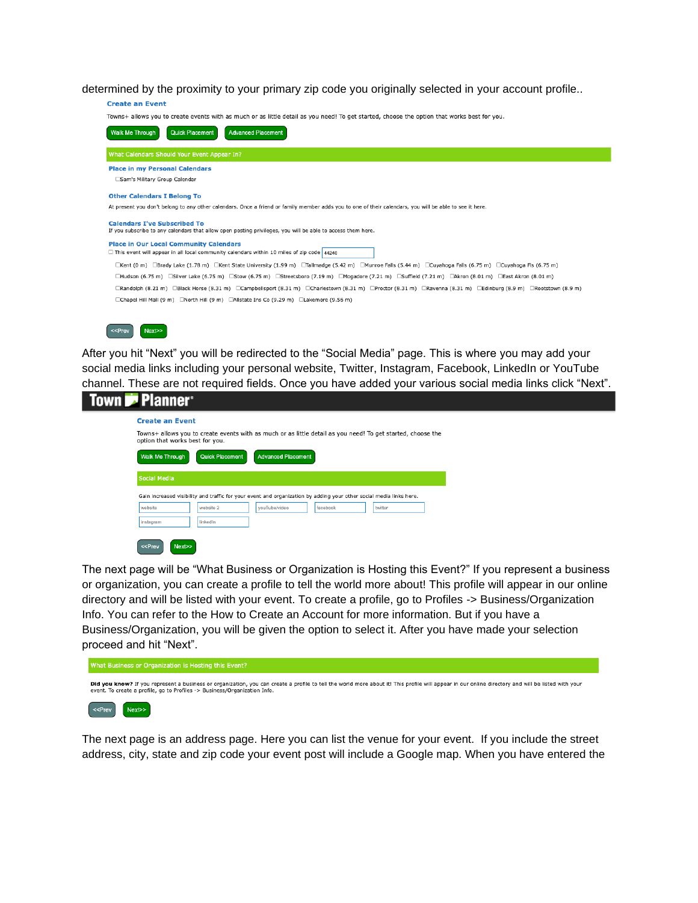determined by the proximity to your primary zip code you originally selected in your account profile..



After you hit "Next" you will be redirected to the "Social Media" page. This is where you may add your social media links including your personal website, Twitter, Instagram, Facebook, LinkedIn or YouTube channel. These are not required fields. Once you have added your various social media links click "Next".

| <b>Town Replant Planner</b>                                                                                                                    |  |  |  |  |  |  |
|------------------------------------------------------------------------------------------------------------------------------------------------|--|--|--|--|--|--|
| <b>Create an Event</b>                                                                                                                         |  |  |  |  |  |  |
| Towns+ allows you to create events with as much or as little detail as you need! To get started, choose the<br>option that works best for you. |  |  |  |  |  |  |
| Walk Me Through<br><b>Advanced Placement</b><br><b>Quick Placement</b>                                                                         |  |  |  |  |  |  |
| Social Media                                                                                                                                   |  |  |  |  |  |  |
| Gain increased visibility and traffic for your event and organization by adding your other social media links here.                            |  |  |  |  |  |  |
| vouTube/video<br>website<br>website 2<br>facebook<br>twitter                                                                                   |  |  |  |  |  |  |
| linkedIn<br>instagram                                                                                                                          |  |  |  |  |  |  |
| Next>><br>$<<$ Prev                                                                                                                            |  |  |  |  |  |  |

The next page will be "What Business or Organization is Hosting this Event?" If you represent a business or organization, you can create a profile to tell the world more about! This profile will appear in our online directory and will be listed with your event. To create a profile, go to Profiles -> Business/Organization Info. You can refer to the How to Create an Account for more information. But if you have a Business/Organization, you will be given the option to select it. After you have made your selection proceed and hit "Next".

| What Business or Organization is Hosting this Event?                                                                                                                                                                                                                            |
|---------------------------------------------------------------------------------------------------------------------------------------------------------------------------------------------------------------------------------------------------------------------------------|
| Did you know? If you represent a business or organization, you can create a profile to tell the world more about it! This profile will appear in our online directory and will be listed with your<br>event. To create a profile, go to Profiles -> Business/Organization Info. |
| $\le$ Prev<br>Next>>                                                                                                                                                                                                                                                            |

The next page is an address page. Here you can list the venue for your event. If you include the street address, city, state and zip code your event post will include a Google map. When you have entered the